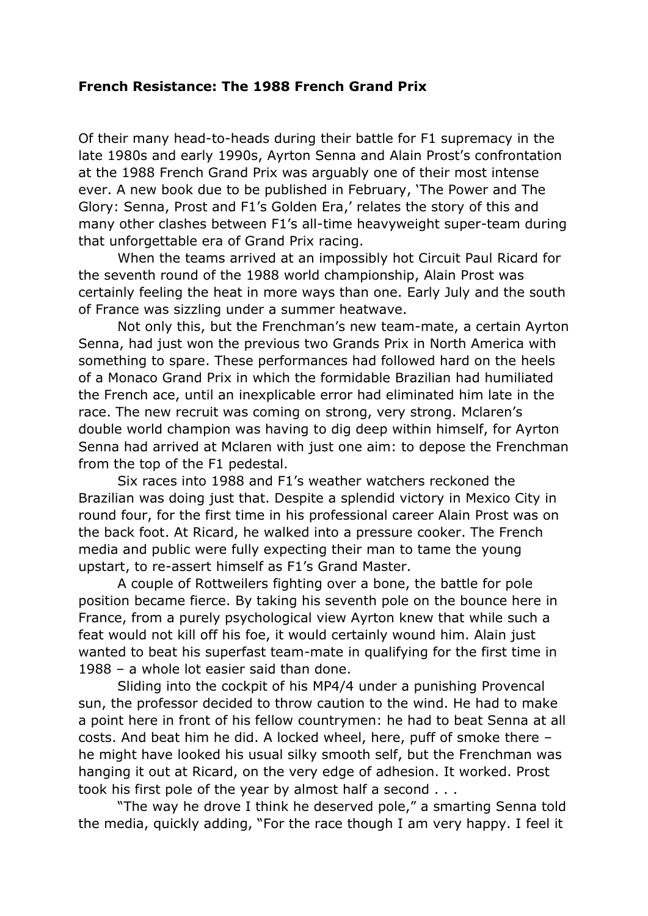## **French Resistance: The 1988 French Grand Prix**

Of their many head-to-heads during their battle for F1 supremacy in the late 1980s and early 1990s, Ayrton Senna and Alain Prost's confrontation at the 1988 French Grand Prix was arguably one of their most intense ever. A new book due to be published in February, 'The Power and The Glory: Senna, Prost and F1's Golden Era,' relates the story of this and many other clashes between F1's all-time heavyweight super-team during that unforgettable era of Grand Prix racing.

When the teams arrived at an impossibly hot Circuit Paul Ricard for the seventh round of the 1988 world championship, Alain Prost was certainly feeling the heat in more ways than one. Early July and the south of France was sizzling under a summer heatwave.

Not only this, but the Frenchman's new team-mate, a certain Ayrton Senna, had just won the previous two Grands Prix in North America with something to spare. These performances had followed hard on the heels of a Monaco Grand Prix in which the formidable Brazilian had humiliated the French ace, until an inexplicable error had eliminated him late in the race. The new recruit was coming on strong, very strong. Mclaren's double world champion was having to dig deep within himself, for Ayrton Senna had arrived at Mclaren with just one aim: to depose the Frenchman from the top of the F1 pedestal.

Six races into 1988 and F1's weather watchers reckoned the Brazilian was doing just that. Despite a splendid victory in Mexico City in round four, for the first time in his professional career Alain Prost was on the back foot. At Ricard, he walked into a pressure cooker. The French media and public were fully expecting their man to tame the young upstart, to re-assert himself as F1's Grand Master.

A couple of Rottweilers fighting over a bone, the battle for pole position became fierce. By taking his seventh pole on the bounce here in France, from a purely psychological view Ayrton knew that while such a feat would not kill off his foe, it would certainly wound him. Alain just wanted to beat his superfast team-mate in qualifying for the first time in 1988 – a whole lot easier said than done.

Sliding into the cockpit of his MP4/4 under a punishing Provencal sun, the professor decided to throw caution to the wind. He had to make a point here in front of his fellow countrymen: he had to beat Senna at all costs. And beat him he did. A locked wheel, here, puff of smoke there – he might have looked his usual silky smooth self, but the Frenchman was hanging it out at Ricard, on the very edge of adhesion. It worked. Prost took his first pole of the year by almost half a second . . .

"The way he drove I think he deserved pole," a smarting Senna told the media, quickly adding, "For the race though I am very happy. I feel it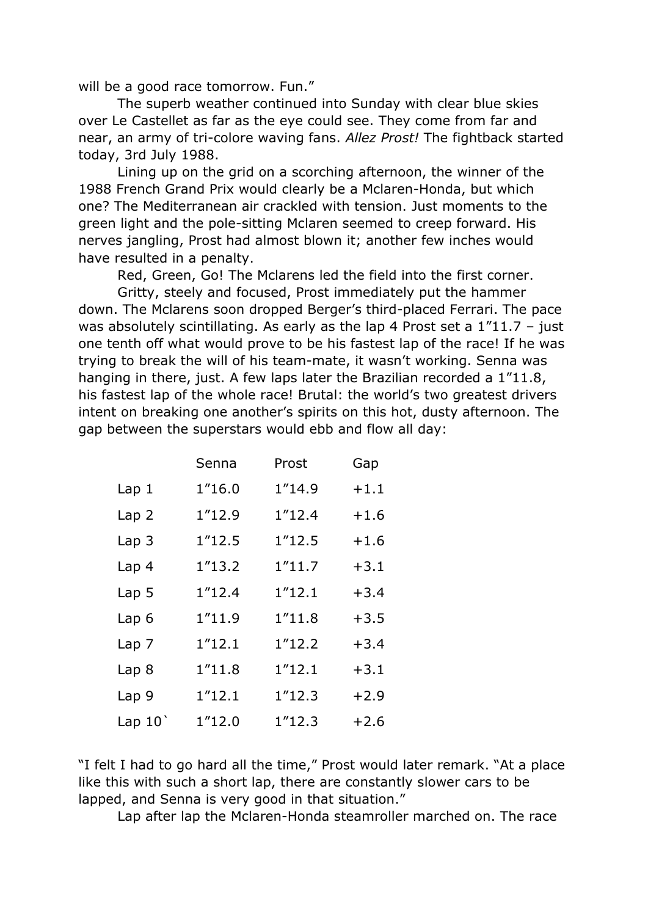will be a good race tomorrow. Fun."

The superb weather continued into Sunday with clear blue skies over Le Castellet as far as the eye could see. They come from far and near, an army of tri-colore waving fans. *Allez Prost!* The fightback started today, 3rd July 1988.

Lining up on the grid on a scorching afternoon, the winner of the 1988 French Grand Prix would clearly be a Mclaren-Honda, but which one? The Mediterranean air crackled with tension. Just moments to the green light and the pole-sitting Mclaren seemed to creep forward. His nerves jangling, Prost had almost blown it; another few inches would have resulted in a penalty.

Red, Green, Go! The Mclarens led the field into the first corner.

Gritty, steely and focused, Prost immediately put the hammer down. The Mclarens soon dropped Berger's third-placed Ferrari. The pace was absolutely scintillating. As early as the lap 4 Prost set a  $1"11.7 -$  just one tenth off what would prove to be his fastest lap of the race! If he was trying to break the will of his team-mate, it wasn't working. Senna was hanging in there, just. A few laps later the Brazilian recorded a 1"11.8, his fastest lap of the whole race! Brutal: the world's two greatest drivers intent on breaking one another's spirits on this hot, dusty afternoon. The gap between the superstars would ebb and flow all day:

|                  | Senna   | Prost   | Gap    |
|------------------|---------|---------|--------|
| Lap <sub>1</sub> | 1"16.0  | 1"14.9  | $+1.1$ |
| Lap <sub>2</sub> | 1"12.9  | 1''12.4 | $+1.6$ |
| Lap <sub>3</sub> | 1''12.5 | 1''12.5 | $+1.6$ |
| Lap <sub>4</sub> | 1''13.2 | 1''11.7 | $+3.1$ |
| Lap <sub>5</sub> | 1''12.4 | 1''12.1 | $+3.4$ |
| Lap <sub>6</sub> | 1''11.9 | 1''11.8 | $+3.5$ |
| Lap 7            | 1''12.1 | 1"12.2  | $+3.4$ |
| Lap <sub>8</sub> | 1''11.8 | 1''12.1 | $+3.1$ |
| Lap 9            | 1''12.1 | 1''12.3 | $+2.9$ |
| Lap $10'$        | 1''12.0 | 1''12.3 | $+2.6$ |

"I felt I had to go hard all the time," Prost would later remark. "At a place like this with such a short lap, there are constantly slower cars to be lapped, and Senna is very good in that situation."

Lap after lap the Mclaren-Honda steamroller marched on. The race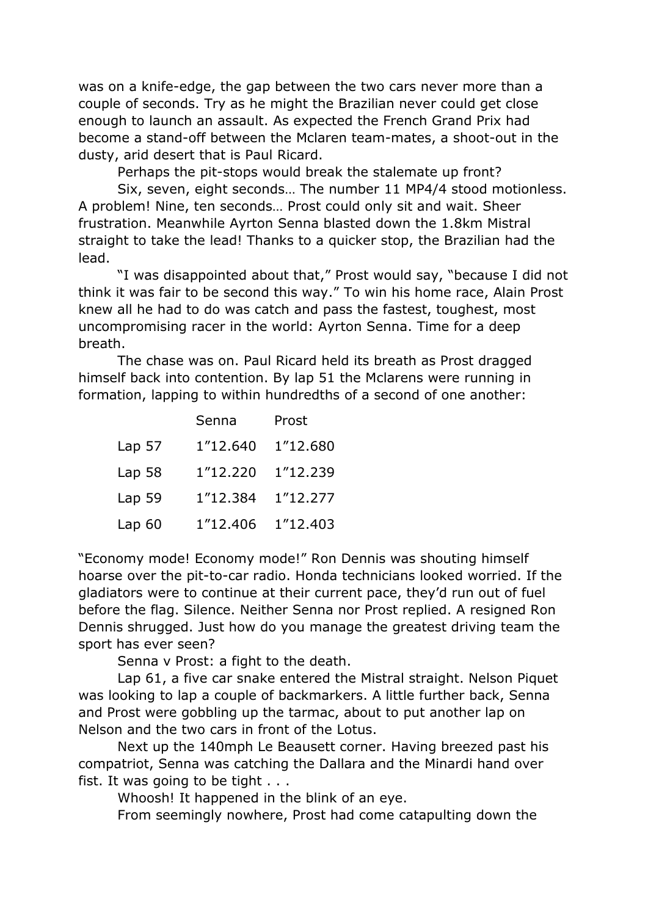was on a knife-edge, the gap between the two cars never more than a couple of seconds. Try as he might the Brazilian never could get close enough to launch an assault. As expected the French Grand Prix had become a stand-off between the Mclaren team-mates, a shoot-out in the dusty, arid desert that is Paul Ricard.

Perhaps the pit-stops would break the stalemate up front?

Six, seven, eight seconds… The number 11 MP4/4 stood motionless. A problem! Nine, ten seconds… Prost could only sit and wait. Sheer frustration. Meanwhile Ayrton Senna blasted down the 1.8km Mistral straight to take the lead! Thanks to a quicker stop, the Brazilian had the lead.

"I was disappointed about that," Prost would say, "because I did not think it was fair to be second this way." To win his home race, Alain Prost knew all he had to do was catch and pass the fastest, toughest, most uncompromising racer in the world: Ayrton Senna. Time for a deep breath.

The chase was on. Paul Ricard held its breath as Prost dragged himself back into contention. By lap 51 the Mclarens were running in formation, lapping to within hundredths of a second of one another:

|                   | Senna    | Prost    |
|-------------------|----------|----------|
| Lap <sub>57</sub> | 1"12.640 | 1"12.680 |
| Lap 58            | 1"12.220 | 1"12.239 |
| Lap 59            | 1"12.384 | 1"12.277 |
| Lap <sub>60</sub> | 1"12.406 | 1"12.403 |

"Economy mode! Economy mode!" Ron Dennis was shouting himself hoarse over the pit-to-car radio. Honda technicians looked worried. If the gladiators were to continue at their current pace, they'd run out of fuel before the flag. Silence. Neither Senna nor Prost replied. A resigned Ron Dennis shrugged. Just how do you manage the greatest driving team the sport has ever seen?

Senna v Prost: a fight to the death.

Lap 61, a five car snake entered the Mistral straight. Nelson Piquet was looking to lap a couple of backmarkers. A little further back, Senna and Prost were gobbling up the tarmac, about to put another lap on Nelson and the two cars in front of the Lotus.

Next up the 140mph Le Beausett corner. Having breezed past his compatriot, Senna was catching the Dallara and the Minardi hand over fist. It was going to be tight . . .

Whoosh! It happened in the blink of an eye.

From seemingly nowhere, Prost had come catapulting down the